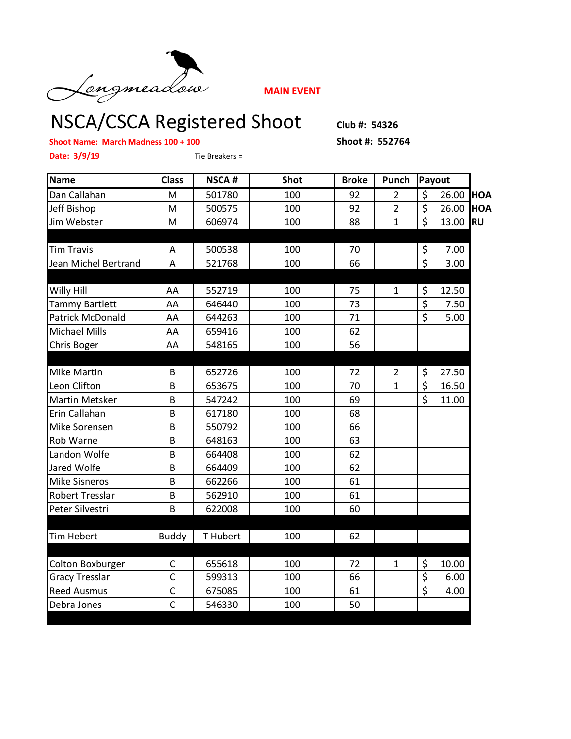

**MAIN EVENT**

## NSCA/CSCA Registered Shoot Club #: 54326

**Shoot Name: March Madness 100 + 100 Shoot #: 552764**

**Date: 3/9/19** Tie Breakers =

| <b>Name</b>             | <b>Class</b>   | <b>NSCA#</b> | <b>Shot</b> | <b>Broke</b> | Punch          | Payout                  |       |            |
|-------------------------|----------------|--------------|-------------|--------------|----------------|-------------------------|-------|------------|
| Dan Callahan            | M              | 501780       | 100         | 92           | $\overline{2}$ | \$                      | 26.00 | <b>HOA</b> |
| Jeff Bishop             | M              | 500575       | 100         | 92           | $\overline{2}$ | \$                      | 26.00 | <b>HOA</b> |
| Jim Webster             | M              | 606974       | 100         | 88           | $\mathbf{1}$   | \$                      | 13.00 | <b>RU</b>  |
|                         |                |              |             |              |                |                         |       |            |
| <b>Tim Travis</b>       | Α              | 500538       | 100         | 70           |                | \$                      | 7.00  |            |
| Jean Michel Bertrand    | A              | 521768       | 100         | 66           |                | $\overline{\mathsf{S}}$ | 3.00  |            |
|                         |                |              |             |              |                |                         |       |            |
| Willy Hill              | AA             | 552719       | 100         | 75           | 1              | \$                      | 12.50 |            |
| <b>Tammy Bartlett</b>   | AA             | 646440       | 100         | 73           |                | \$                      | 7.50  |            |
| <b>Patrick McDonald</b> | AA             | 644263       | 100         | 71           |                | $\overline{\mathsf{S}}$ | 5.00  |            |
| <b>Michael Mills</b>    | AA             | 659416       | 100         | 62           |                |                         |       |            |
| Chris Boger             | AA             | 548165       | 100         | 56           |                |                         |       |            |
|                         |                |              |             |              |                |                         |       |            |
| Mike Martin             | B              | 652726       | 100         | 72           | $\overline{2}$ | \$                      | 27.50 |            |
| Leon Clifton            | B              | 653675       | 100         | 70           | $\mathbf{1}$   | \$                      | 16.50 |            |
| <b>Martin Metsker</b>   | B              | 547242       | 100         | 69           |                | Ś                       | 11.00 |            |
| Erin Callahan           | B              | 617180       | 100         | 68           |                |                         |       |            |
| Mike Sorensen           | B              | 550792       | 100         | 66           |                |                         |       |            |
| Rob Warne               | B              | 648163       | 100         | 63           |                |                         |       |            |
| Landon Wolfe            | B              | 664408       | 100         | 62           |                |                         |       |            |
| Jared Wolfe             | B              | 664409       | 100         | 62           |                |                         |       |            |
| <b>Mike Sisneros</b>    | B              | 662266       | 100         | 61           |                |                         |       |            |
| <b>Robert Tresslar</b>  | B              | 562910       | 100         | 61           |                |                         |       |            |
| Peter Silvestri         | B              | 622008       | 100         | 60           |                |                         |       |            |
|                         |                |              |             |              |                |                         |       |            |
| <b>Tim Hebert</b>       | <b>Buddy</b>   | T Hubert     | 100         | 62           |                |                         |       |            |
|                         |                |              |             |              |                |                         |       |            |
| <b>Colton Boxburger</b> | C              | 655618       | 100         | 72           | $\mathbf{1}$   | \$                      | 10.00 |            |
| <b>Gracy Tresslar</b>   | $\mathsf{C}$   | 599313       | 100         | 66           |                | \$                      | 6.00  |            |
| <b>Reed Ausmus</b>      | $\mathsf{C}$   | 675085       | 100         | 61           |                | $\overline{\mathsf{S}}$ | 4.00  |            |
| Debra Jones             | $\overline{C}$ | 546330       | 100         | 50           |                |                         |       |            |